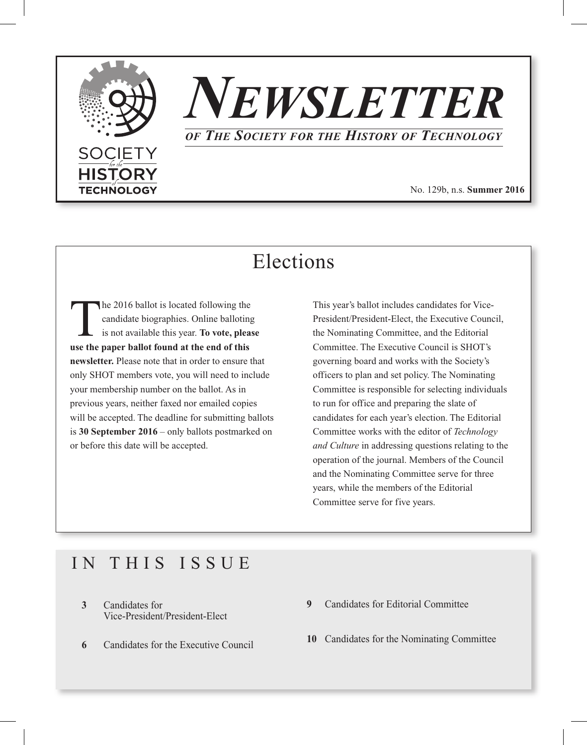

# *NEWSLETTER OF THE SOCIETY FOR THE HISTORY OF TECHNOLOGY*

No. 129b, n.s. **Summer 2016**

### Elections

The 2016 ballot is located following the<br>candidate biographies. Online ballotin<br>is not available this year. To vote, plea candidate biographies. Online balloting is not available this year. **To vote, please use the paper ballot found at the end of this newsletter.** Please note that in order to ensure that only SHOT members vote, you will need to include your membership number on the ballot. As in previous years, neither faxed nor emailed copies will be accepted. The deadline for submitting ballots is **30 September 2016** – only ballots postmarked on or before this date will be accepted.

This year's ballot includes candidates for Vice-President/President-Elect, the Executive Council, the Nominating Committee, and the Editorial Committee. The Executive Council is SHOT's governing board and works with the Society's officers to plan and set policy. The Nominating Committee is responsible for selecting individuals to run for office and preparing the slate of candidates for each year's election. The Editorial Committee works with the editor of *Technology and Culture* in addressing questions relating to the operation of the journal. Members of the Council and the Nominating Committee serve for three years, while the members of the Editorial Committee serve for five years.

#### IN THIS ISSUE

- **3** Candidates for Vice-President/President-Elect
- **6** Candidates for the Executive Council
- **9** Candidates for Editorial Committee
- **10** Candidates for the Nominating Committee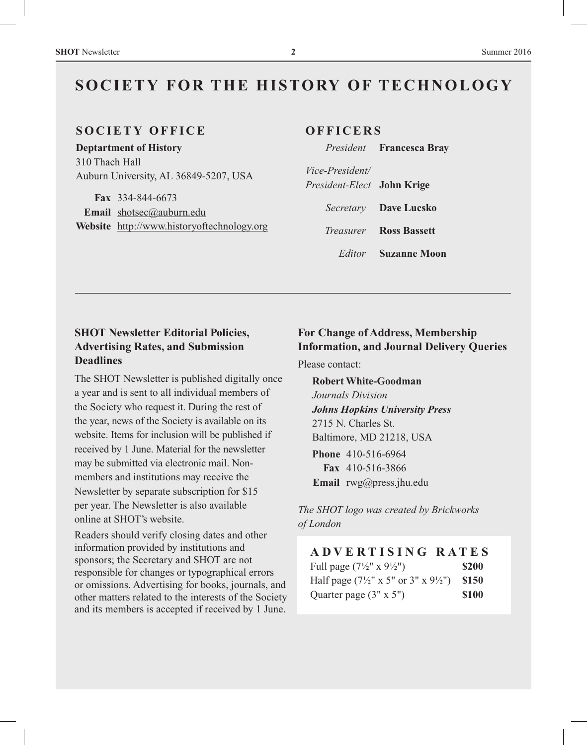#### **SOCIETY FOR THE HISTORY OF TECHNOLOGY**

#### **SOC IET Y OFFI C E**

#### **Deptartment of History**

310 Thach Hall Auburn University, AL 36849-5207, USA

 **Fax** 334-844-6673 **Email** shotsec@auburn.edu **Website** http://www.historyoftechnology.org

#### **OFFI C E R S**

 *President* **Francesca Bray**

*Vice-President/ President-Elect* **John Krige**  *Secretary* **Dave Lucsko**  *Treasurer* **Ross Bassett** *Editor* **Suzanne Moon**

#### **SHOT Newsletter Editorial Policies, Advertising Rates, and Submission Deadlines**

The SHOT Newsletter is published digitally once a year and is sent to all individual members of the Society who request it. During the rest of the year, news of the Society is available on its website. Items for inclusion will be published if received by 1 June. Material for the newsletter may be submitted via electronic mail. Nonmembers and institutions may receive the Newsletter by separate subscription for \$15 per year. The Newsletter is also available online at SHOT's website.

Readers should verify closing dates and other information provided by institutions and sponsors; the Secretary and SHOT are not responsible for changes or typographical errors or omissions. Advertising for books, journals, and other matters related to the interests of the Society and its members is accepted if received by 1 June.

#### **For Change of Address, Membership Information, and Journal Delivery Queries**

Please contact:

**Robert White-Goodman** *Journals Division Johns Hopkins University Press* 2715 N. Charles St. Baltimore, MD 21218, USA **Phone** 410-516-6964 **Fax** 410-516-3866 **Email** rwg@press.jhu.edu

*The SHOT logo was created by Brickworks of London*

| ADVERTISING RATES                                                               |              |
|---------------------------------------------------------------------------------|--------------|
| Full page $(7\frac{1}{2}$ " x $9\frac{1}{2}$ ")                                 | <b>\$200</b> |
| Half page $(7\frac{1}{2}$ " x 5" or 3" x 9 <sup>1</sup> / <sub>2</sub> ") \$150 |              |

| Half page $(7\frac{1}{2}$ " x 5" or 3" x 9 <sup>1</sup> / <sub>2</sub> ") \$150 |       |
|---------------------------------------------------------------------------------|-------|
| Quarter page $(3" \times 5")$                                                   | \$100 |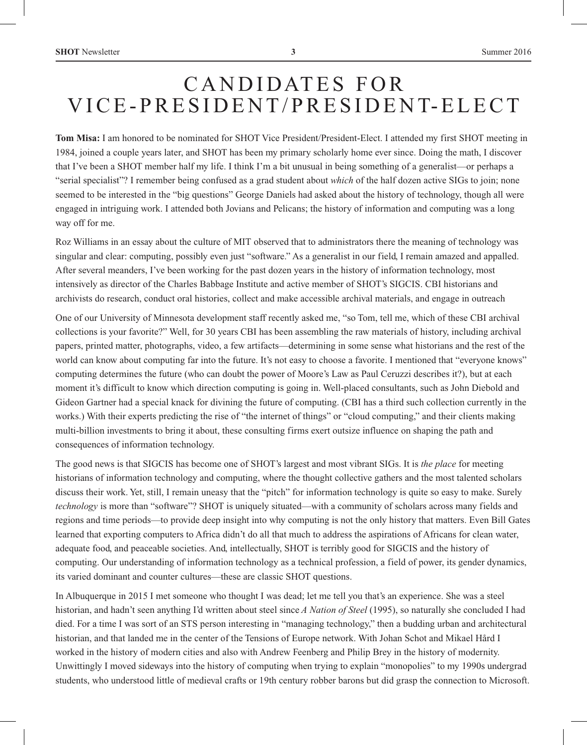### CANDIDATES FOR V ICE- PRES I D E N T/ PRES I D E N T-ELECT

**Tom Misa:** I am honored to be nominated for SHOT Vice President/President-Elect. I attended my first SHOT meeting in 1984, joined a couple years later, and SHOT has been my primary scholarly home ever since. Doing the math, I discover that I've been a SHOT member half my life. I think I'm a bit unusual in being something of a generalist—or perhaps a "serial specialist"? I remember being confused as a grad student about *which* of the half dozen active SIGs to join; none seemed to be interested in the "big questions" George Daniels had asked about the history of technology, though all were engaged in intriguing work. I attended both Jovians and Pelicans; the history of information and computing was a long way off for me.

Roz Williams in an essay about the culture of MIT observed that to administrators there the meaning of technology was singular and clear: computing, possibly even just "software." As a generalist in our field, I remain amazed and appalled. After several meanders, I've been working for the past dozen years in the history of information technology, most intensively as director of the Charles Babbage Institute and active member of SHOT's SIGCIS. CBI historians and archivists do research, conduct oral histories, collect and make accessible archival materials, and engage in outreach

One of our University of Minnesota development staff recently asked me, "so Tom, tell me, which of these CBI archival collections is your favorite?" Well, for 30 years CBI has been assembling the raw materials of history, including archival papers, printed matter, photographs, video, a few artifacts—determining in some sense what historians and the rest of the world can know about computing far into the future. It's not easy to choose a favorite. I mentioned that "everyone knows" computing determines the future (who can doubt the power of Moore's Law as Paul Ceruzzi describes it?), but at each moment it's difficult to know which direction computing is going in. Well-placed consultants, such as John Diebold and Gideon Gartner had a special knack for divining the future of computing. (CBI has a third such collection currently in the works.) With their experts predicting the rise of "the internet of things" or "cloud computing," and their clients making multi-billion investments to bring it about, these consulting firms exert outsize influence on shaping the path and consequences of information technology.

The good news is that SIGCIS has become one of SHOT's largest and most vibrant SIGs. It is *the place* for meeting historians of information technology and computing, where the thought collective gathers and the most talented scholars discuss their work. Yet, still, I remain uneasy that the "pitch" for information technology is quite so easy to make. Surely *technology* is more than "software"? SHOT is uniquely situated—with a community of scholars across many fields and regions and time periods—to provide deep insight into why computing is not the only history that matters. Even Bill Gates learned that exporting computers to Africa didn't do all that much to address the aspirations of Africans for clean water, adequate food, and peaceable societies. And, intellectually, SHOT is terribly good for SIGCIS and the history of computing. Our understanding of information technology as a technical profession, a field of power, its gender dynamics, its varied dominant and counter cultures—these are classic SHOT questions.

In Albuquerque in 2015 I met someone who thought I was dead; let me tell you that's an experience. She was a steel historian, and hadn't seen anything I'd written about steel since *A Nation of Steel* (1995), so naturally she concluded I had died. For a time I was sort of an STS person interesting in "managing technology," then a budding urban and architectural historian, and that landed me in the center of the Tensions of Europe network. With Johan Schot and Mikael Hård I worked in the history of modern cities and also with Andrew Feenberg and Philip Brey in the history of modernity. Unwittingly I moved sideways into the history of computing when trying to explain "monopolies" to my 1990s undergrad students, who understood little of medieval crafts or 19th century robber barons but did grasp the connection to Microsoft.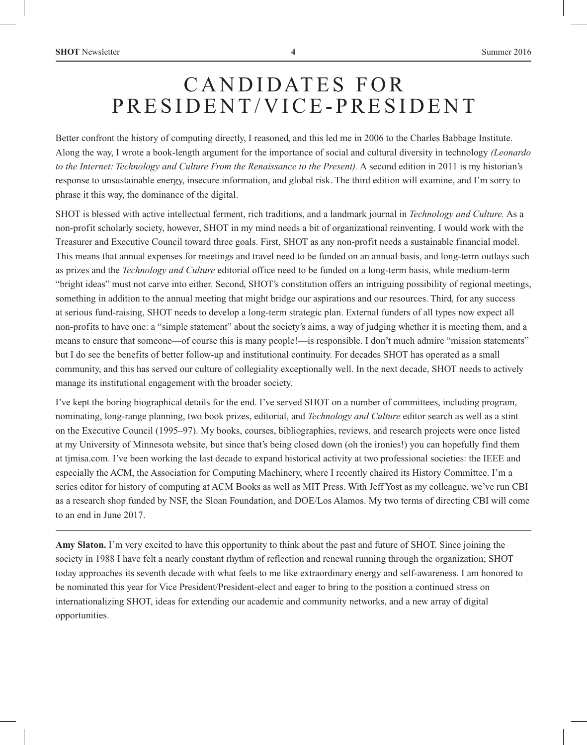#### CANDIDATES FOR PRES I D E N T/ V ICE- PRES I D E N T

Better confront the history of computing directly, I reasoned, and this led me in 2006 to the Charles Babbage Institute. Along the way, I wrote a book-length argument for the importance of social and cultural diversity in technology *(Leonardo to the Internet: Technology and Culture From the Renaissance to the Present).* A second edition in 2011 is my historian's response to unsustainable energy, insecure information, and global risk. The third edition will examine, and I'm sorry to phrase it this way, the dominance of the digital.

SHOT is blessed with active intellectual ferment, rich traditions, and a landmark journal in *Technology and Culture.* As a non-profit scholarly society, however, SHOT in my mind needs a bit of organizational reinventing. I would work with the Treasurer and Executive Council toward three goals. First, SHOT as any non-profit needs a sustainable financial model. This means that annual expenses for meetings and travel need to be funded on an annual basis, and long-term outlays such as prizes and the *Technology and Culture* editorial office need to be funded on a long-term basis, while medium-term "bright ideas" must not carve into either. Second, SHOT's constitution offers an intriguing possibility of regional meetings, something in addition to the annual meeting that might bridge our aspirations and our resources. Third, for any success at serious fund-raising, SHOT needs to develop a long-term strategic plan. External funders of all types now expect all non-profits to have one: a "simple statement" about the society's aims, a way of judging whether it is meeting them, and a means to ensure that someone—of course this is many people!—is responsible. I don't much admire "mission statements" but I do see the benefits of better follow-up and institutional continuity. For decades SHOT has operated as a small community, and this has served our culture of collegiality exceptionally well. In the next decade, SHOT needs to actively manage its institutional engagement with the broader society.

I've kept the boring biographical details for the end. I've served SHOT on a number of committees, including program, nominating, long-range planning, two book prizes, editorial, and *Technology and Culture* editor search as well as a stint on the Executive Council (1995–97). My books, courses, bibliographies, reviews, and research projects were once listed at my University of Minnesota website, but since that's being closed down (oh the ironies!) you can hopefully find them at tjmisa.com. I've been working the last decade to expand historical activity at two professional societies: the IEEE and especially the ACM, the Association for Computing Machinery, where I recently chaired its History Committee. I'm a series editor for history of computing at ACM Books as well as MIT Press. With Jeff Yost as my colleague, we've run CBI as a research shop funded by NSF, the Sloan Foundation, and DOE/Los Alamos. My two terms of directing CBI will come to an end in June 2017.

**Amy Slaton.** I'm very excited to have this opportunity to think about the past and future of SHOT. Since joining the society in 1988 I have felt a nearly constant rhythm of reflection and renewal running through the organization; SHOT today approaches its seventh decade with what feels to me like extraordinary energy and self-awareness. I am honored to be nominated this year for Vice President/President-elect and eager to bring to the position a continued stress on internationalizing SHOT, ideas for extending our academic and community networks, and a new array of digital opportunities.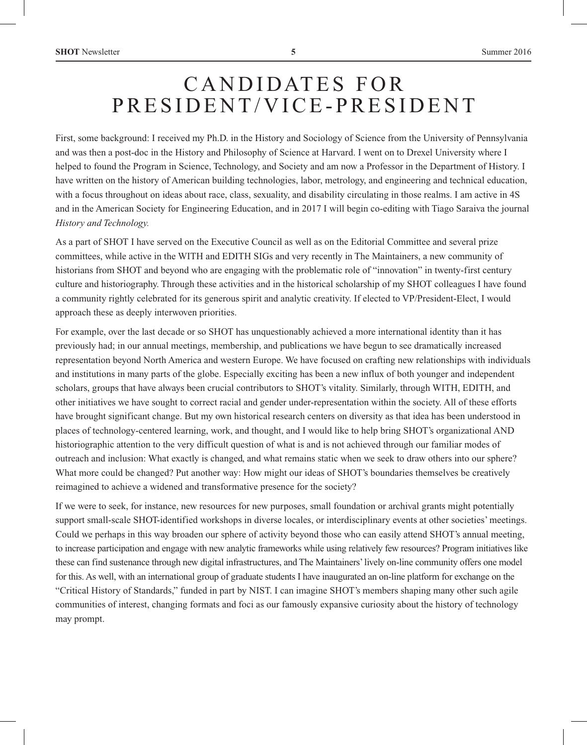### CANDIDATES FOR PRESIDENT/VICE-PRESIDENT

First, some background: I received my Ph.D. in the History and Sociology of Science from the University of Pennsylvania and was then a post-doc in the History and Philosophy of Science at Harvard. I went on to Drexel University where I helped to found the Program in Science, Technology, and Society and am now a Professor in the Department of History. I have written on the history of American building technologies, labor, metrology, and engineering and technical education, with a focus throughout on ideas about race, class, sexuality, and disability circulating in those realms. I am active in 4S and in the American Society for Engineering Education, and in 2017 I will begin co-editing with Tiago Saraiva the journal *History and Technology.*

As a part of SHOT I have served on the Executive Council as well as on the Editorial Committee and several prize committees, while active in the WITH and EDITH SIGs and very recently in The Maintainers, a new community of historians from SHOT and beyond who are engaging with the problematic role of "innovation" in twenty-first century culture and historiography. Through these activities and in the historical scholarship of my SHOT colleagues I have found a community rightly celebrated for its generous spirit and analytic creativity. If elected to VP/President-Elect, I would approach these as deeply interwoven priorities.

For example, over the last decade or so SHOT has unquestionably achieved a more international identity than it has previously had; in our annual meetings, membership, and publications we have begun to see dramatically increased representation beyond North America and western Europe. We have focused on crafting new relationships with individuals and institutions in many parts of the globe. Especially exciting has been a new influx of both younger and independent scholars, groups that have always been crucial contributors to SHOT's vitality. Similarly, through WITH, EDITH, and other initiatives we have sought to correct racial and gender under-representation within the society. All of these efforts have brought significant change. But my own historical research centers on diversity as that idea has been understood in places of technology-centered learning, work, and thought, and I would like to help bring SHOT's organizational AND historiographic attention to the very difficult question of what is and is not achieved through our familiar modes of outreach and inclusion: What exactly is changed, and what remains static when we seek to draw others into our sphere? What more could be changed? Put another way: How might our ideas of SHOT's boundaries themselves be creatively reimagined to achieve a widened and transformative presence for the society?

If we were to seek, for instance, new resources for new purposes, small foundation or archival grants might potentially support small-scale SHOT-identified workshops in diverse locales, or interdisciplinary events at other societies' meetings. Could we perhaps in this way broaden our sphere of activity beyond those who can easily attend SHOT's annual meeting, to increase participation and engage with new analytic frameworks while using relatively few resources? Program initiatives like these can find sustenance through new digital infrastructures, and The Maintainers'lively on-line community offers one model for this. As well, with an international group of graduate students I have inaugurated an on-line platform for exchange on the "Critical History of Standards," funded in part by NIST. I can imagine SHOT's members shaping many other such agile communities of interest, changing formats and foci as our famously expansive curiosity about the history of technology may prompt.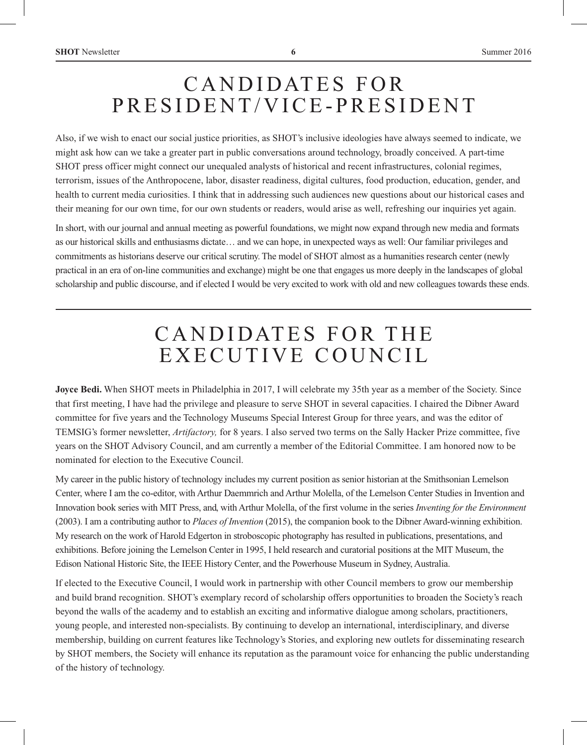### CANDIDATES FOR PRES I D E N T/ V ICE- PRES I D E N T

Also, if we wish to enact our social justice priorities, as SHOT's inclusive ideologies have always seemed to indicate, we might ask how can we take a greater part in public conversations around technology, broadly conceived. A part-time SHOT press officer might connect our unequaled analysts of historical and recent infrastructures, colonial regimes, terrorism, issues of the Anthropocene, labor, disaster readiness, digital cultures, food production, education, gender, and health to current media curiosities. I think that in addressing such audiences new questions about our historical cases and their meaning for our own time, for our own students or readers, would arise as well, refreshing our inquiries yet again.

In short, with our journal and annual meeting as powerful foundations, we might now expand through new media and formats as our historical skills and enthusiasms dictate… and we can hope, in unexpected ways as well: Our familiar privileges and commitments as historians deserve our critical scrutiny. The model of SHOT almost as a humanities research center (newly practical in an era of on-line communities and exchange) might be one that engages us more deeply in the landscapes of global scholarship and public discourse, and if elected I would be very excited to work with old and new colleagues towards these ends.

### CANDIDATES FOR THE EXECUTIVE COUNCIL

**Joyce Bedi.** When SHOT meets in Philadelphia in 2017, I will celebrate my 35th year as a member of the Society. Since that first meeting, I have had the privilege and pleasure to serve SHOT in several capacities. I chaired the Dibner Award committee for five years and the Technology Museums Special Interest Group for three years, and was the editor of TEMSIG's former newsletter, *Artifactory,* for 8 years. I also served two terms on the Sally Hacker Prize committee, five years on the SHOT Advisory Council, and am currently a member of the Editorial Committee. I am honored now to be nominated for election to the Executive Council.

My career in the public history of technology includes my current position as senior historian at the Smithsonian Lemelson Center, where I am the co-editor, with Arthur Daemmrich and Arthur Molella, of the Lemelson Center Studies in Invention and Innovation book series with MIT Press, and, with Arthur Molella, of the first volume in the series *Inventing for the Environment* (2003). I am a contributing author to *Places of Invention* (2015), the companion book to the Dibner Award-winning exhibition. My research on the work of Harold Edgerton in stroboscopic photography has resulted in publications, presentations, and exhibitions. Before joining the Lemelson Center in 1995, I held research and curatorial positions at the MIT Museum, the Edison National Historic Site, the IEEE History Center, and the Powerhouse Museum in Sydney, Australia.

If elected to the Executive Council, I would work in partnership with other Council members to grow our membership and build brand recognition. SHOT's exemplary record of scholarship offers opportunities to broaden the Society's reach beyond the walls of the academy and to establish an exciting and informative dialogue among scholars, practitioners, young people, and interested non-specialists. By continuing to develop an international, interdisciplinary, and diverse membership, building on current features like Technology's Stories, and exploring new outlets for disseminating research by SHOT members, the Society will enhance its reputation as the paramount voice for enhancing the public understanding of the history of technology.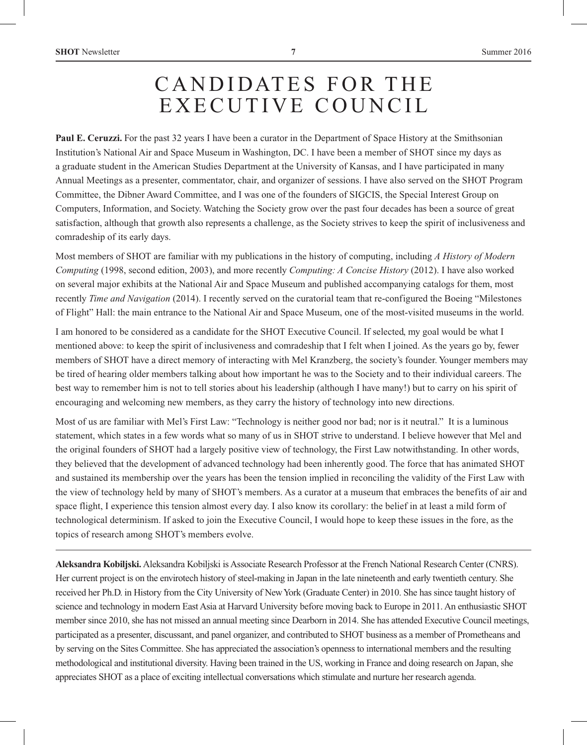#### CANDIDATES FOR THE EXECUTIVE COUNCIL

**Paul E. Ceruzzi.** For the past 32 years I have been a curator in the Department of Space History at the Smithsonian Institution's National Air and Space Museum in Washington, DC. I have been a member of SHOT since my days as a graduate student in the American Studies Department at the University of Kansas, and I have participated in many Annual Meetings as a presenter, commentator, chair, and organizer of sessions. I have also served on the SHOT Program Committee, the Dibner Award Committee, and I was one of the founders of SIGCIS, the Special Interest Group on Computers, Information, and Society. Watching the Society grow over the past four decades has been a source of great satisfaction, although that growth also represents a challenge, as the Society strives to keep the spirit of inclusiveness and comradeship of its early days.

Most members of SHOT are familiar with my publications in the history of computing, including *A History of Modern Computing* (1998, second edition, 2003), and more recently *Computing: A Concise History* (2012). I have also worked on several major exhibits at the National Air and Space Museum and published accompanying catalogs for them, most recently *Time and Navigation* (2014). I recently served on the curatorial team that re-configured the Boeing "Milestones of Flight" Hall: the main entrance to the National Air and Space Museum, one of the most-visited museums in the world.

I am honored to be considered as a candidate for the SHOT Executive Council. If selected, my goal would be what I mentioned above: to keep the spirit of inclusiveness and comradeship that I felt when I joined. As the years go by, fewer members of SHOT have a direct memory of interacting with Mel Kranzberg, the society's founder. Younger members may be tired of hearing older members talking about how important he was to the Society and to their individual careers. The best way to remember him is not to tell stories about his leadership (although I have many!) but to carry on his spirit of encouraging and welcoming new members, as they carry the history of technology into new directions.

Most of us are familiar with Mel's First Law: "Technology is neither good nor bad; nor is it neutral." It is a luminous statement, which states in a few words what so many of us in SHOT strive to understand. I believe however that Mel and the original founders of SHOT had a largely positive view of technology, the First Law notwithstanding. In other words, they believed that the development of advanced technology had been inherently good. The force that has animated SHOT and sustained its membership over the years has been the tension implied in reconciling the validity of the First Law with the view of technology held by many of SHOT's members. As a curator at a museum that embraces the benefits of air and space flight, I experience this tension almost every day. I also know its corollary: the belief in at least a mild form of technological determinism. If asked to join the Executive Council, I would hope to keep these issues in the fore, as the topics of research among SHOT's members evolve.

**Aleksandra Kobiljski.** Aleksandra Kobiljski is Associate Research Professor at the French National Research Center (CNRS). Her current project is on the envirotech history of steel-making in Japan in the late nineteenth and early twentieth century. She received her Ph.D. in History from the City University of NewYork (Graduate Center) in 2010. She has since taught history of science and technology in modern East Asia at Harvard University before moving back to Europe in 2011. An enthusiastic SHOT member since 2010, she has not missed an annual meeting since Dearborn in 2014. She has attended Executive Council meetings, participated as a presenter, discussant, and panel organizer, and contributed to SHOT business as a member of Prometheans and by serving on the Sites Committee. She has appreciated the association's openness to international members and the resulting methodological and institutional diversity. Having been trained in the US, working in France and doing research on Japan, she appreciates SHOT as a place of exciting intellectual conversations which stimulate and nurture her research agenda.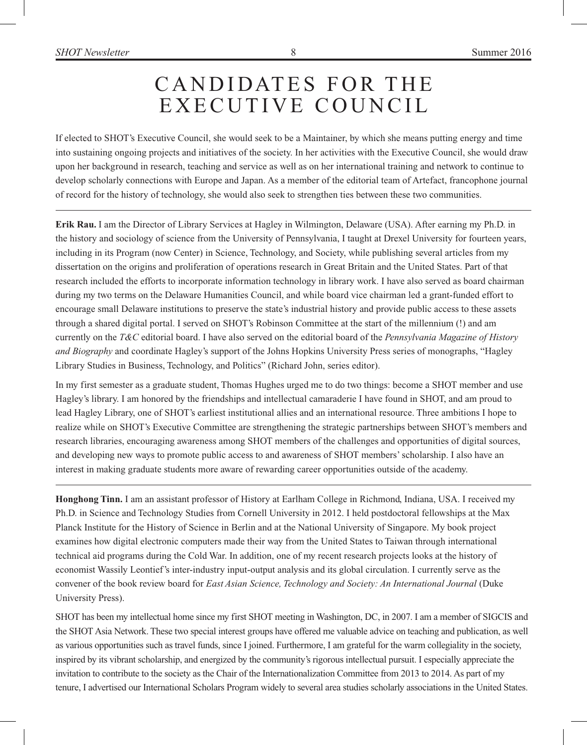#### CANDIDATES FOR THE EXECUTIVE COUNCIL

If elected to SHOT's Executive Council, she would seek to be a Maintainer, by which she means putting energy and time into sustaining ongoing projects and initiatives of the society. In her activities with the Executive Council, she would draw upon her background in research, teaching and service as well as on her international training and network to continue to develop scholarly connections with Europe and Japan. As a member of the editorial team of Artefact, francophone journal of record for the history of technology, she would also seek to strengthen ties between these two communities.

**Erik Rau.** I am the Director of Library Services at Hagley in Wilmington, Delaware (USA). After earning my Ph.D. in the history and sociology of science from the University of Pennsylvania, I taught at Drexel University for fourteen years, including in its Program (now Center) in Science, Technology, and Society, while publishing several articles from my dissertation on the origins and proliferation of operations research in Great Britain and the United States. Part of that research included the efforts to incorporate information technology in library work. I have also served as board chairman during my two terms on the Delaware Humanities Council, and while board vice chairman led a grant-funded effort to encourage small Delaware institutions to preserve the state's industrial history and provide public access to these assets through a shared digital portal. I served on SHOT's Robinson Committee at the start of the millennium (!) and am currently on the *T&C* editorial board. I have also served on the editorial board of the *Pennsylvania Magazine of History and Biography* and coordinate Hagley's support of the Johns Hopkins University Press series of monographs, "Hagley Library Studies in Business, Technology, and Politics" (Richard John, series editor).

In my first semester as a graduate student, Thomas Hughes urged me to do two things: become a SHOT member and use Hagley's library. I am honored by the friendships and intellectual camaraderie I have found in SHOT, and am proud to lead Hagley Library, one of SHOT's earliest institutional allies and an international resource. Three ambitions I hope to realize while on SHOT's Executive Committee are strengthening the strategic partnerships between SHOT's members and research libraries, encouraging awareness among SHOT members of the challenges and opportunities of digital sources, and developing new ways to promote public access to and awareness of SHOT members'scholarship. I also have an interest in making graduate students more aware of rewarding career opportunities outside of the academy.

**Honghong Tinn.** I am an assistant professor of History at Earlham College in Richmond, Indiana, USA. I received my Ph.D. in Science and Technology Studies from Cornell University in 2012. I held postdoctoral fellowships at the Max Planck Institute for the History of Science in Berlin and at the National University of Singapore. My book project examines how digital electronic computers made their way from the United States to Taiwan through international technical aid programs during the Cold War. In addition, one of my recent research projects looks at the history of economist Wassily Leontief's inter-industry input-output analysis and its global circulation. I currently serve as the convener of the book review board for *East Asian Science, Technology and Society: An International Journal* (Duke University Press).

SHOT has been my intellectual home since my first SHOT meeting in Washington, DC, in 2007. I am a member of SIGCIS and the SHOT Asia Network. These two special interest groups have offered me valuable advice on teaching and publication, as well as various opportunities such as travel funds, since I joined. Furthermore, I am grateful for the warm collegiality in the society, inspired by its vibrant scholarship, and energized by the community's rigorous intellectual pursuit. I especially appreciate the invitation to contribute to the society as the Chair of the Internationalization Committee from 2013 to 2014. As part of my tenure, I advertised our International Scholars Program widely to several area studies scholarly associations in the United States.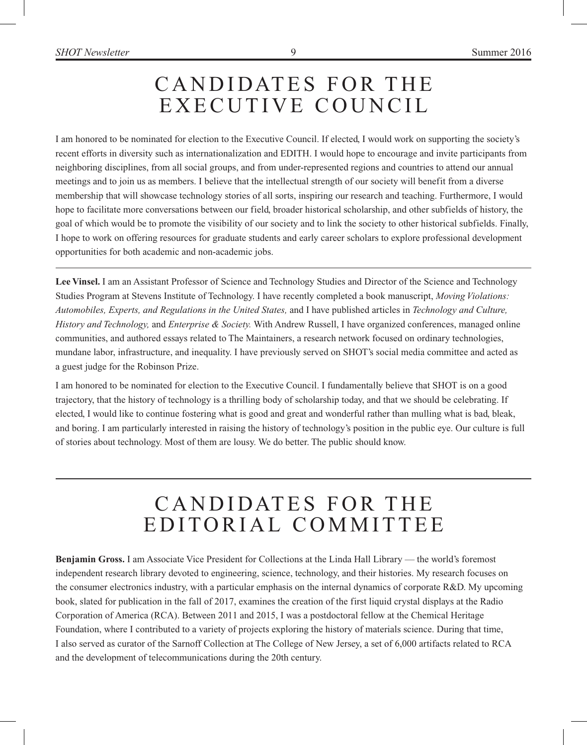### CANDIDATES FOR THE EXECUTIVE COUNCIL

I am honored to be nominated for election to the Executive Council. If elected, I would work on supporting the society's recent efforts in diversity such as internationalization and EDITH. I would hope to encourage and invite participants from neighboring disciplines, from all social groups, and from under-represented regions and countries to attend our annual meetings and to join us as members. I believe that the intellectual strength of our society will benefit from a diverse membership that will showcase technology stories of all sorts, inspiring our research and teaching. Furthermore, I would hope to facilitate more conversations between our field, broader historical scholarship, and other subfields of history, the goal of which would be to promote the visibility of our society and to link the society to other historical subfields. Finally, I hope to work on offering resources for graduate students and early career scholars to explore professional development opportunities for both academic and non-academic jobs.

**Lee Vinsel.** I am an Assistant Professor of Science and Technology Studies and Director of the Science and Technology Studies Program at Stevens Institute of Technology. I have recently completed a book manuscript, *Moving Violations: Automobiles, Experts, and Regulations in the United States,* and I have published articles in *Technology and Culture, History and Technology,* and *Enterprise & Society.* With Andrew Russell, I have organized conferences, managed online communities, and authored essays related to The Maintainers, a research network focused on ordinary technologies, mundane labor, infrastructure, and inequality. I have previously served on SHOT's social media committee and acted as a guest judge for the Robinson Prize.

I am honored to be nominated for election to the Executive Council. I fundamentally believe that SHOT is on a good trajectory, that the history of technology is a thrilling body of scholarship today, and that we should be celebrating. If elected, I would like to continue fostering what is good and great and wonderful rather than mulling what is bad, bleak, and boring. I am particularly interested in raising the history of technology's position in the public eye. Our culture is full of stories about technology. Most of them are lousy. We do better. The public should know.

### CANDIDATES FOR THE EDITORIAL COMMITTEE

**Benjamin Gross.** I am Associate Vice President for Collections at the Linda Hall Library — the world's foremost independent research library devoted to engineering, science, technology, and their histories. My research focuses on the consumer electronics industry, with a particular emphasis on the internal dynamics of corporate R&D. My upcoming book, slated for publication in the fall of 2017, examines the creation of the first liquid crystal displays at the Radio Corporation of America (RCA). Between 2011 and 2015, I was a postdoctoral fellow at the Chemical Heritage Foundation, where I contributed to a variety of projects exploring the history of materials science. During that time, I also served as curator of the Sarnoff Collection at The College of New Jersey, a set of 6,000 artifacts related to RCA and the development of telecommunications during the 20th century.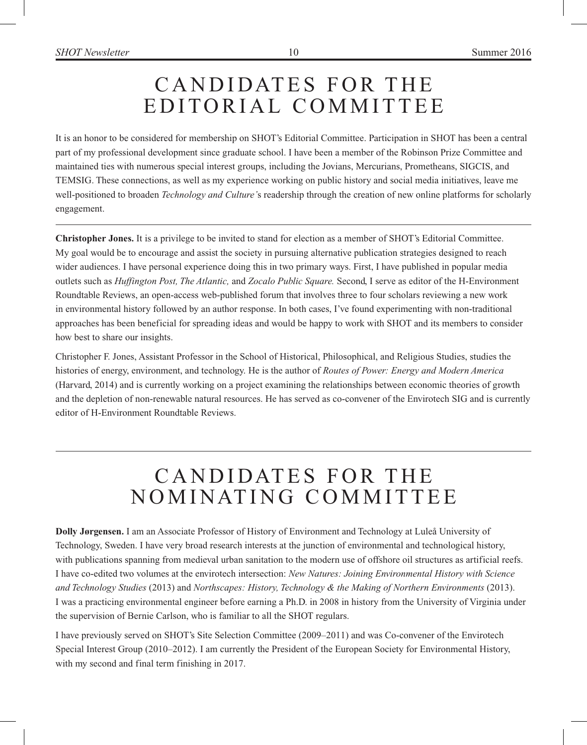### CANDIDATES FOR THE EDITORIAL COMMITTEE

It is an honor to be considered for membership on SHOT's Editorial Committee. Participation in SHOT has been a central part of my professional development since graduate school. I have been a member of the Robinson Prize Committee and maintained ties with numerous special interest groups, including the Jovians, Mercurians, Prometheans, SIGCIS, and TEMSIG. These connections, as well as my experience working on public history and social media initiatives, leave me well-positioned to broaden *Technology and Culture'*s readership through the creation of new online platforms for scholarly engagement.

**Christopher Jones.** It is a privilege to be invited to stand for election as a member of SHOT's Editorial Committee. My goal would be to encourage and assist the society in pursuing alternative publication strategies designed to reach wider audiences. I have personal experience doing this in two primary ways. First, I have published in popular media outlets such as *Huffington Post, The Atlantic,* and *Zocalo Public Square.* Second, I serve as editor of the H-Environment Roundtable Reviews, an open-access web-published forum that involves three to four scholars reviewing a new work in environmental history followed by an author response. In both cases, I've found experimenting with non-traditional approaches has been beneficial for spreading ideas and would be happy to work with SHOT and its members to consider how best to share our insights.

Christopher F. Jones, Assistant Professor in the School of Historical, Philosophical, and Religious Studies, studies the histories of energy, environment, and technology. He is the author of *Routes of Power: Energy and Modern America* (Harvard, 2014) and is currently working on a project examining the relationships between economic theories of growth and the depletion of non-renewable natural resources. He has served as co-convener of the Envirotech SIG and is currently editor of H-Environment Roundtable Reviews.

# CANDIDATES FOR THE NOMINATING COMMITTEE

**Dolly Jørgensen.** I am an Associate Professor of History of Environment and Technology at Luleå University of Technology, Sweden. I have very broad research interests at the junction of environmental and technological history, with publications spanning from medieval urban sanitation to the modern use of offshore oil structures as artificial reefs. I have co-edited two volumes at the envirotech intersection: *New Natures: Joining Environmental History with Science and Technology Studies* (2013) and *Northscapes: History, Technology & the Making of Northern Environments* (2013). I was a practicing environmental engineer before earning a Ph.D. in 2008 in history from the University of Virginia under the supervision of Bernie Carlson, who is familiar to all the SHOT regulars.

I have previously served on SHOT's Site Selection Committee (2009–2011) and was Co-convener of the Envirotech Special Interest Group (2010–2012). I am currently the President of the European Society for Environmental History, with my second and final term finishing in 2017.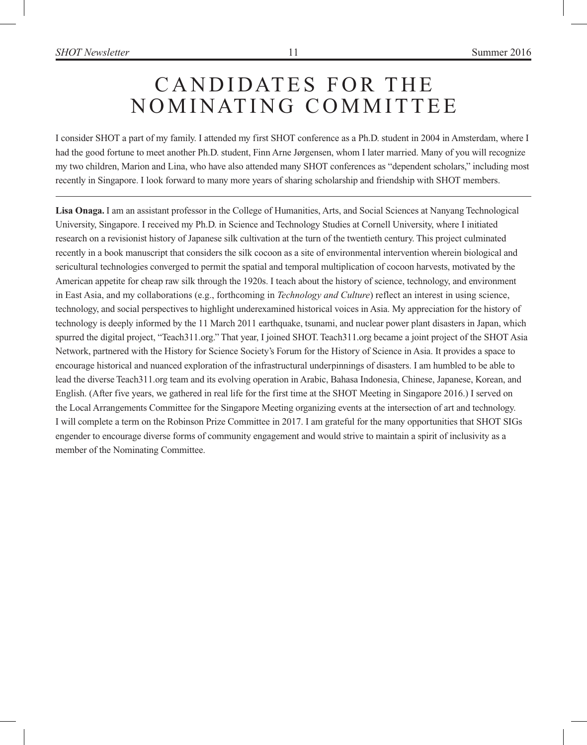### CANDIDATES FOR THE NOMINATING COMMITTEE

I consider SHOT a part of my family. I attended my first SHOT conference as a Ph.D. student in 2004 in Amsterdam, where I had the good fortune to meet another Ph.D. student, Finn Arne Jørgensen, whom I later married. Many of you will recognize my two children, Marion and Lina, who have also attended many SHOT conferences as "dependent scholars," including most recently in Singapore. I look forward to many more years of sharing scholarship and friendship with SHOT members.

**Lisa Onaga.** I am an assistant professor in the College of Humanities, Arts, and Social Sciences at Nanyang Technological University, Singapore. I received my Ph.D. in Science and Technology Studies at Cornell University, where I initiated research on a revisionist history of Japanese silk cultivation at the turn of the twentieth century. This project culminated recently in a book manuscript that considers the silk cocoon as a site of environmental intervention wherein biological and sericultural technologies converged to permit the spatial and temporal multiplication of cocoon harvests, motivated by the American appetite for cheap raw silk through the 1920s. I teach about the history of science, technology, and environment in East Asia, and my collaborations (e.g., forthcoming in *Technology and Culture*) reflect an interest in using science, technology, and social perspectives to highlight underexamined historical voices in Asia. My appreciation for the history of technology is deeply informed by the 11 March 2011 earthquake, tsunami, and nuclear power plant disasters in Japan, which spurred the digital project, "Teach311.org." That year, I joined SHOT. Teach311.org became a joint project of the SHOT Asia Network, partnered with the History for Science Society's Forum for the History of Science in Asia. It provides a space to encourage historical and nuanced exploration of the infrastructural underpinnings of disasters. I am humbled to be able to lead the diverse Teach311.org team and its evolving operation in Arabic, Bahasa Indonesia, Chinese, Japanese, Korean, and English. (After five years, we gathered in real life for the first time at the SHOT Meeting in Singapore 2016.) I served on the Local Arrangements Committee for the Singapore Meeting organizing events at the intersection of art and technology. I will complete a term on the Robinson Prize Committee in 2017. I am grateful for the many opportunities that SHOT SIGs engender to encourage diverse forms of community engagement and would strive to maintain a spirit of inclusivity as a member of the Nominating Committee.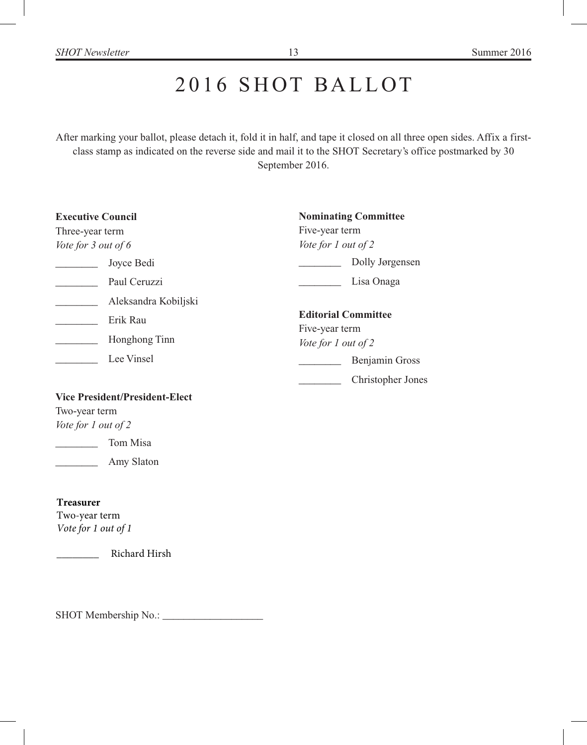## 2016 SHOT BALLOT

After marking your ballot, please detach it, fold it in half, and tape it closed on all three open sides. Affix a firstclass stamp as indicated on the reverse side and mail it to the SHOT Secretary's office postmarked by 30 September 2016.

| <b>Executive Council</b><br>Three-year term | <b>Nominating Committee</b><br>Five-year term<br>Vote for 1 out of 2 |  |
|---------------------------------------------|----------------------------------------------------------------------|--|
| Vote for 3 out of 6                         | Dolly Jørgensen                                                      |  |
| Joyce Bedi                                  |                                                                      |  |
| Paul Ceruzzi                                | Lisa Onaga                                                           |  |
| Aleksandra Kobiljski                        |                                                                      |  |
| Erik Rau                                    | <b>Editorial Committee</b>                                           |  |
|                                             | Five-year term                                                       |  |
| Honghong Tinn                               | Vote for 1 out of 2                                                  |  |
| Lee Vinsel                                  | Benjamin Gross                                                       |  |
|                                             | Christopher Jones                                                    |  |

#### **Vice President/President-Elect**

Two-year term *Vote for 1 out of 2*

\_\_\_\_\_\_\_\_ Tom Misa

\_\_\_\_\_\_\_\_ Amy Slaton

#### **Treasurer**

Two-year term *Vote for 1 out of 1*

\_\_\_\_\_\_\_\_ Richard Hirsh

SHOT Membership No.: \_\_\_\_\_\_\_\_\_\_\_\_\_\_\_\_\_\_\_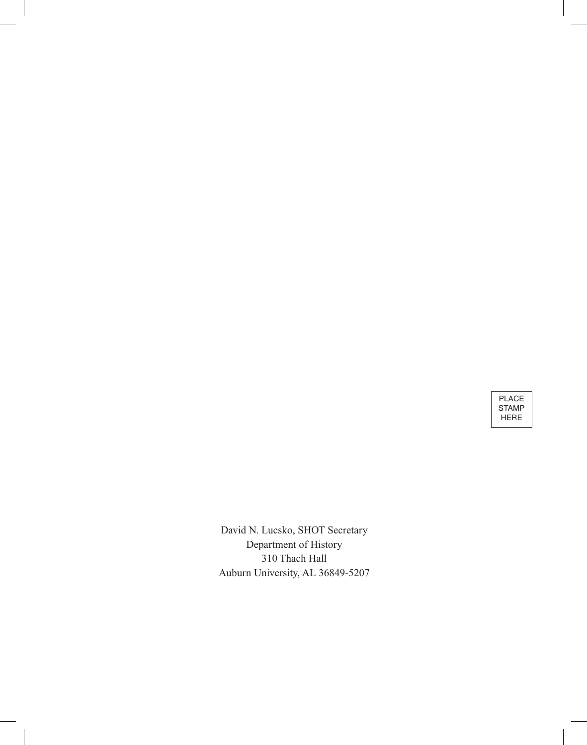PLACE STAMP HERE

David N. Lucsko, SHOT Secretary Department of History 310 Thach Hall Auburn University, AL 36849-5207